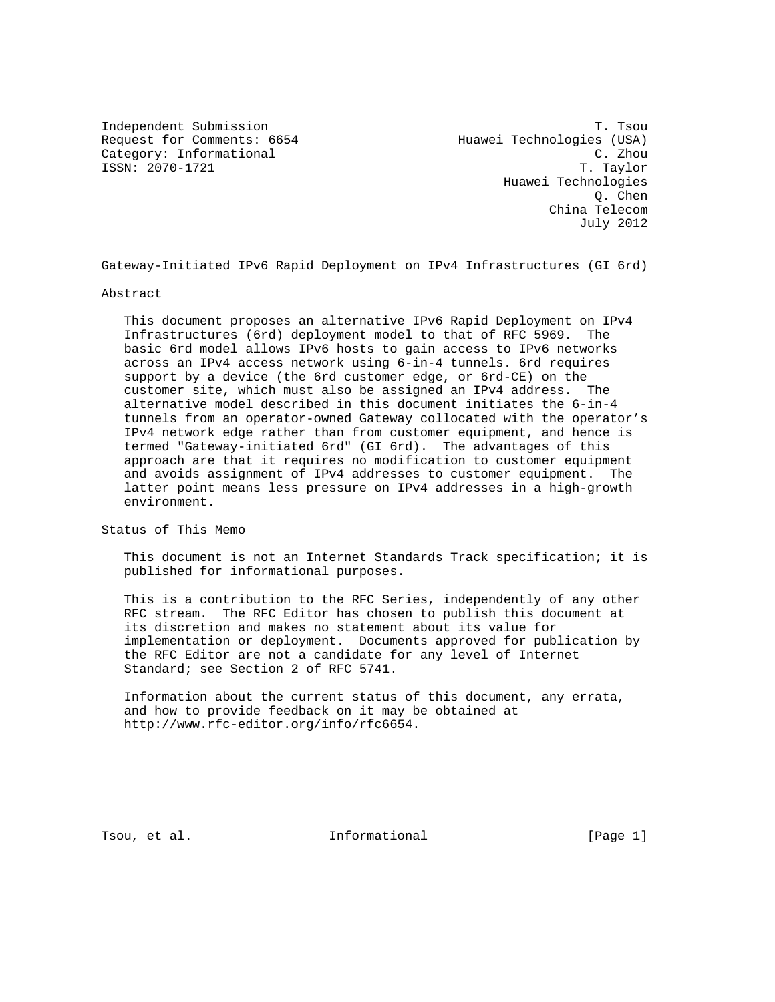Request for Comments: 6654 Huawei Technologies (USA)<br>Category: Informational discussed the C. Zhou Category: Informational

Independent Submission T. Tsou ISSN: 2070-1721 T. Taylor Huawei Technologies Q. Chen China Telecom July 2012

Gateway-Initiated IPv6 Rapid Deployment on IPv4 Infrastructures (GI 6rd)

Abstract

 This document proposes an alternative IPv6 Rapid Deployment on IPv4 Infrastructures (6rd) deployment model to that of RFC 5969. The basic 6rd model allows IPv6 hosts to gain access to IPv6 networks across an IPv4 access network using 6-in-4 tunnels. 6rd requires support by a device (the 6rd customer edge, or 6rd-CE) on the customer site, which must also be assigned an IPv4 address. The alternative model described in this document initiates the 6-in-4 tunnels from an operator-owned Gateway collocated with the operator's IPv4 network edge rather than from customer equipment, and hence is termed "Gateway-initiated 6rd" (GI 6rd). The advantages of this approach are that it requires no modification to customer equipment and avoids assignment of IPv4 addresses to customer equipment. The latter point means less pressure on IPv4 addresses in a high-growth environment.

Status of This Memo

 This document is not an Internet Standards Track specification; it is published for informational purposes.

 This is a contribution to the RFC Series, independently of any other RFC stream. The RFC Editor has chosen to publish this document at its discretion and makes no statement about its value for implementation or deployment. Documents approved for publication by the RFC Editor are not a candidate for any level of Internet Standard; see Section 2 of RFC 5741.

 Information about the current status of this document, any errata, and how to provide feedback on it may be obtained at http://www.rfc-editor.org/info/rfc6654.

Tsou, et al. The informational the same is the same in the same in the same is not in the same in the Theorem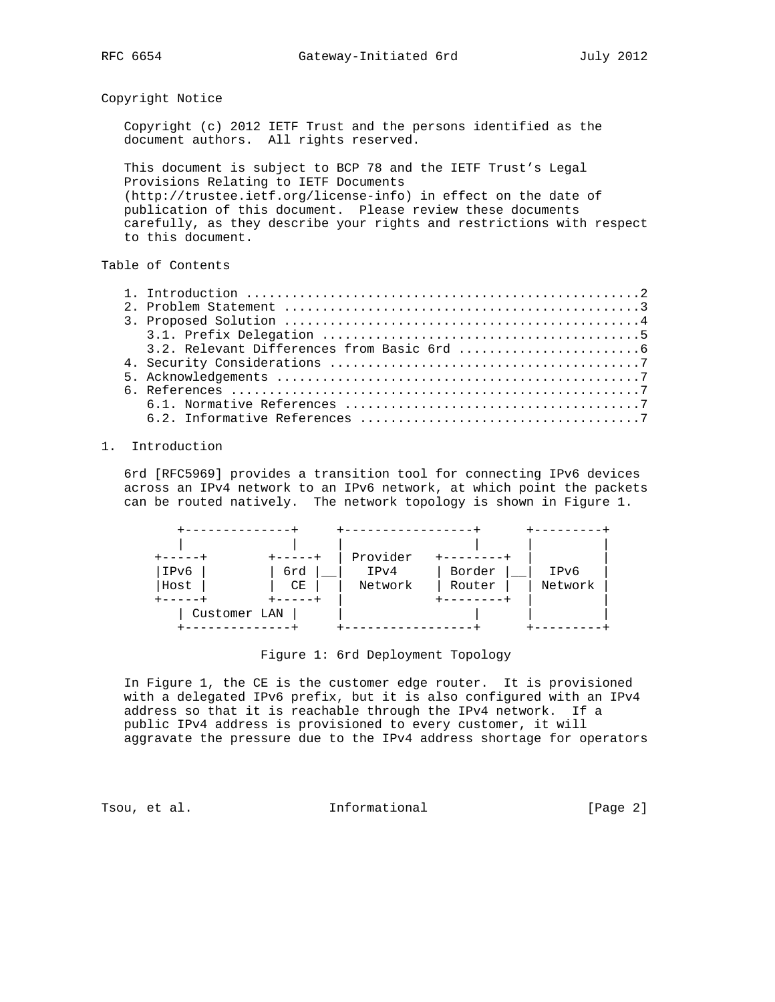Copyright Notice

 Copyright (c) 2012 IETF Trust and the persons identified as the document authors. All rights reserved.

 This document is subject to BCP 78 and the IETF Trust's Legal Provisions Relating to IETF Documents (http://trustee.ietf.org/license-info) in effect on the date of publication of this document. Please review these documents carefully, as they describe your rights and restrictions with respect to this document.

# Table of Contents

## 1. Introduction

 6rd [RFC5969] provides a transition tool for connecting IPv6 devices across an IPv4 network to an IPv6 network, at which point the packets can be routed natively. The network topology is shown in Figure 1.



Figure 1: 6rd Deployment Topology

 In Figure 1, the CE is the customer edge router. It is provisioned with a delegated IPv6 prefix, but it is also configured with an IPv4 address so that it is reachable through the IPv4 network. If a public IPv4 address is provisioned to every customer, it will aggravate the pressure due to the IPv4 address shortage for operators

Tsou, et al. The informational The Informational [Page 2]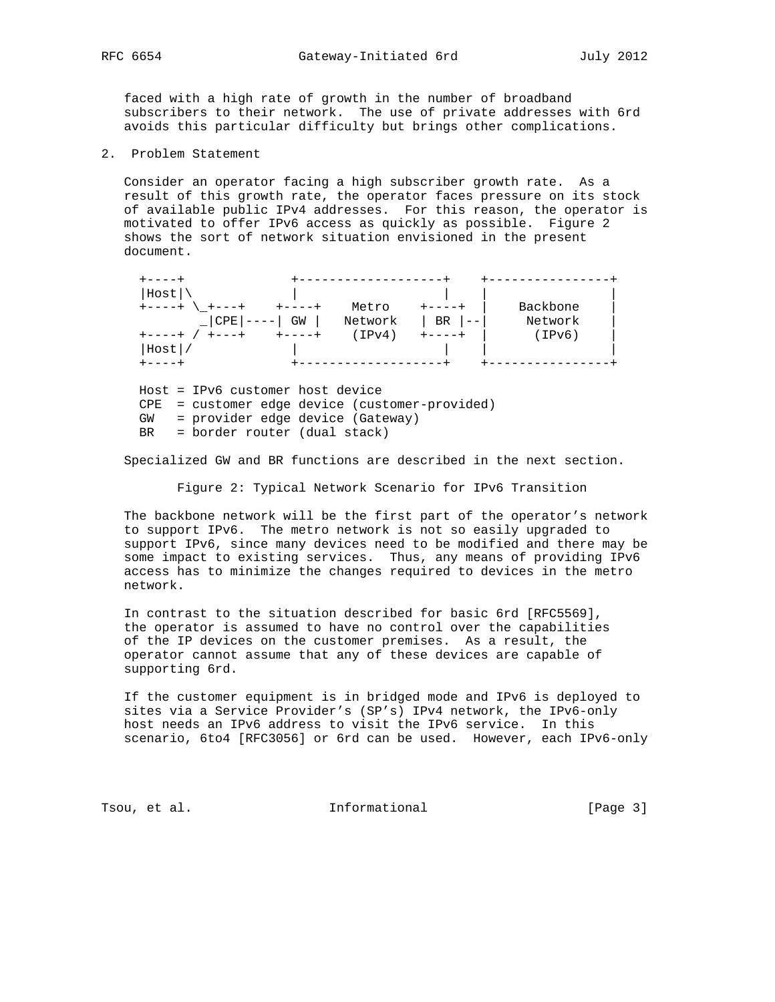faced with a high rate of growth in the number of broadband subscribers to their network. The use of private addresses with 6rd avoids this particular difficulty but brings other complications.

2. Problem Statement

 Consider an operator facing a high subscriber growth rate. As a result of this growth rate, the operator faces pressure on its stock of available public IPv4 addresses. For this reason, the operator is motivated to offer IPv6 access as quickly as possible. Figure 2 shows the sort of network situation envisioned in the present document.

| Host     |    |         |    |          |  |
|----------|----|---------|----|----------|--|
|          |    | Metro   |    | Backbone |  |
| CPE      | GW | Network | BR | Network  |  |
|          |    | (IPv4)  |    | (IPv6)   |  |
| $Host$ / |    |         |    |          |  |
|          |    |         |    |          |  |

 Host = IPv6 customer host device CPE = customer edge device (customer-provided) GW = provider edge device (Gateway) BR = border router (dual stack)

Specialized GW and BR functions are described in the next section.

Figure 2: Typical Network Scenario for IPv6 Transition

 The backbone network will be the first part of the operator's network to support IPv6. The metro network is not so easily upgraded to support IPv6, since many devices need to be modified and there may be some impact to existing services. Thus, any means of providing IPv6 access has to minimize the changes required to devices in the metro network.

 In contrast to the situation described for basic 6rd [RFC5569], the operator is assumed to have no control over the capabilities of the IP devices on the customer premises. As a result, the operator cannot assume that any of these devices are capable of supporting 6rd.

 If the customer equipment is in bridged mode and IPv6 is deployed to sites via a Service Provider's (SP's) IPv4 network, the IPv6-only host needs an IPv6 address to visit the IPv6 service. In this scenario, 6to4 [RFC3056] or 6rd can be used. However, each IPv6-only

Tsou, et al. The informational Transformational [Page 3]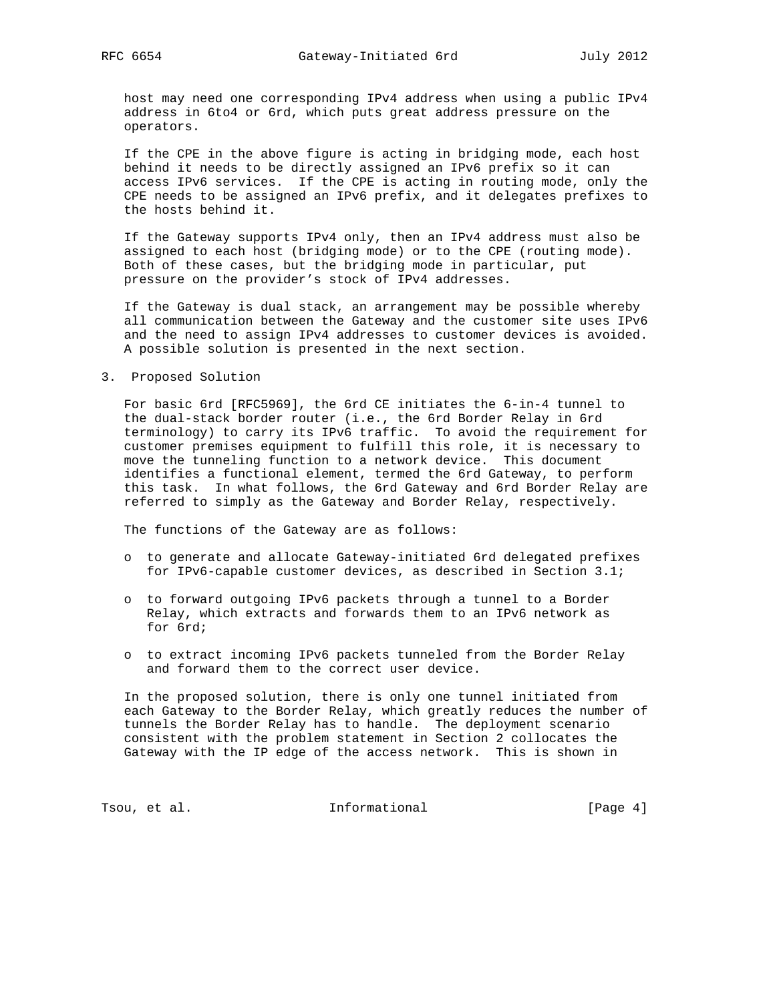host may need one corresponding IPv4 address when using a public IPv4 address in 6to4 or 6rd, which puts great address pressure on the operators.

 If the CPE in the above figure is acting in bridging mode, each host behind it needs to be directly assigned an IPv6 prefix so it can access IPv6 services. If the CPE is acting in routing mode, only the CPE needs to be assigned an IPv6 prefix, and it delegates prefixes to the hosts behind it.

 If the Gateway supports IPv4 only, then an IPv4 address must also be assigned to each host (bridging mode) or to the CPE (routing mode). Both of these cases, but the bridging mode in particular, put pressure on the provider's stock of IPv4 addresses.

 If the Gateway is dual stack, an arrangement may be possible whereby all communication between the Gateway and the customer site uses IPv6 and the need to assign IPv4 addresses to customer devices is avoided. A possible solution is presented in the next section.

### 3. Proposed Solution

 For basic 6rd [RFC5969], the 6rd CE initiates the 6-in-4 tunnel to the dual-stack border router (i.e., the 6rd Border Relay in 6rd terminology) to carry its IPv6 traffic. To avoid the requirement for customer premises equipment to fulfill this role, it is necessary to move the tunneling function to a network device. This document identifies a functional element, termed the 6rd Gateway, to perform this task. In what follows, the 6rd Gateway and 6rd Border Relay are referred to simply as the Gateway and Border Relay, respectively.

The functions of the Gateway are as follows:

- o to generate and allocate Gateway-initiated 6rd delegated prefixes for IPv6-capable customer devices, as described in Section 3.1;
- o to forward outgoing IPv6 packets through a tunnel to a Border Relay, which extracts and forwards them to an IPv6 network as for 6rd;
- o to extract incoming IPv6 packets tunneled from the Border Relay and forward them to the correct user device.

 In the proposed solution, there is only one tunnel initiated from each Gateway to the Border Relay, which greatly reduces the number of tunnels the Border Relay has to handle. The deployment scenario consistent with the problem statement in Section 2 collocates the Gateway with the IP edge of the access network. This is shown in

Tsou, et al. 10. Informational 1. The same state of  $[Page 4]$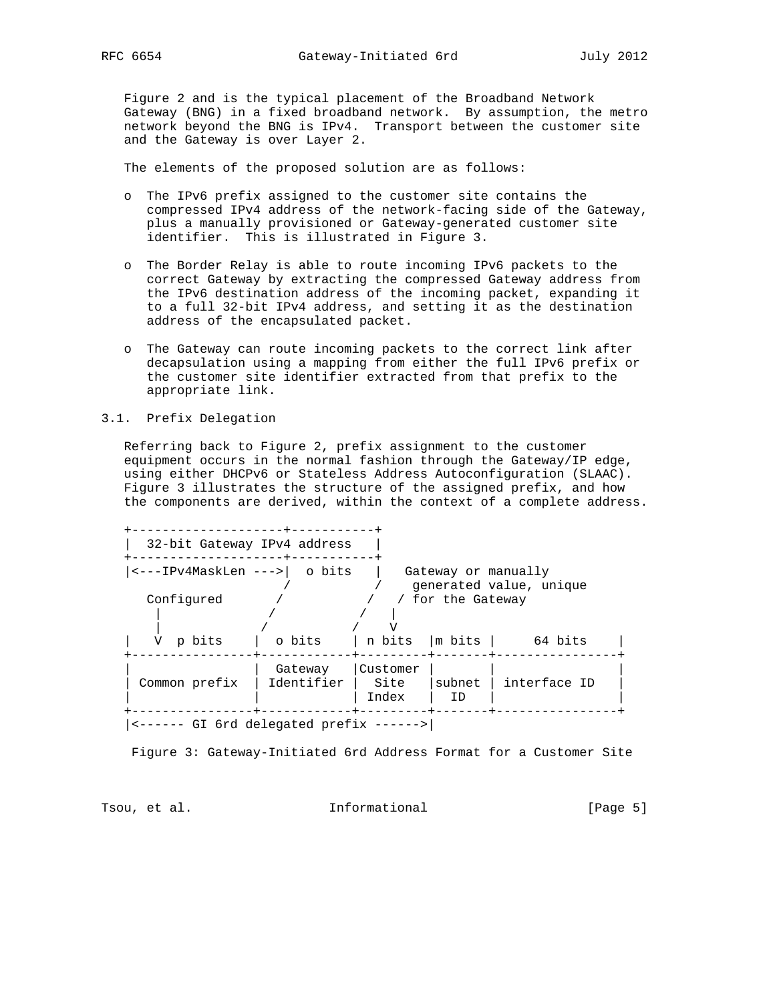Figure 2 and is the typical placement of the Broadband Network Gateway (BNG) in a fixed broadband network. By assumption, the metro network beyond the BNG is IPv4. Transport between the customer site and the Gateway is over Layer 2.

The elements of the proposed solution are as follows:

- o The IPv6 prefix assigned to the customer site contains the compressed IPv4 address of the network-facing side of the Gateway, plus a manually provisioned or Gateway-generated customer site identifier. This is illustrated in Figure 3.
- o The Border Relay is able to route incoming IPv6 packets to the correct Gateway by extracting the compressed Gateway address from the IPv6 destination address of the incoming packet, expanding it to a full 32-bit IPv4 address, and setting it as the destination address of the encapsulated packet.
- o The Gateway can route incoming packets to the correct link after decapsulation using a mapping from either the full IPv6 prefix or the customer site identifier extracted from that prefix to the appropriate link.
- 3.1. Prefix Delegation

 Referring back to Figure 2, prefix assignment to the customer equipment occurs in the normal fashion through the Gateway/IP edge, using either DHCPv6 or Stateless Address Autoconfiguration (SLAAC). Figure 3 illustrates the structure of the assigned prefix, and how the components are derived, within the context of a complete address.

Figure 3: Gateway-Initiated 6rd Address Format for a Customer Site

Tsou, et al. The informational Transformational [Page 5]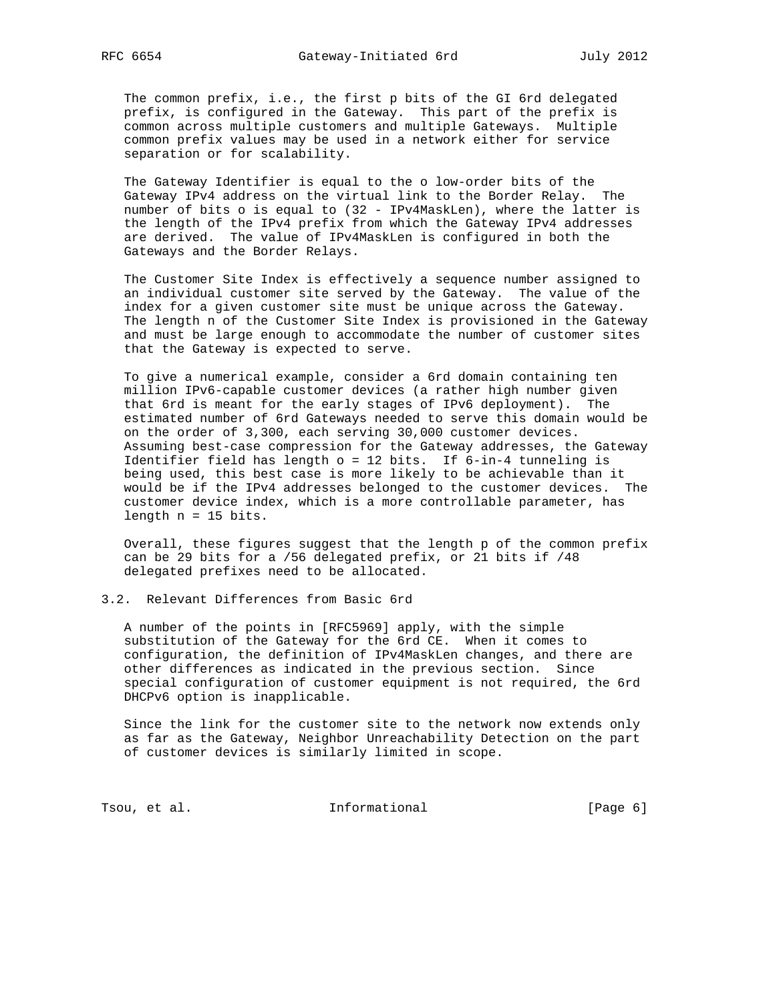The common prefix, i.e., the first p bits of the GI 6rd delegated prefix, is configured in the Gateway. This part of the prefix is common across multiple customers and multiple Gateways. Multiple common prefix values may be used in a network either for service separation or for scalability.

 The Gateway Identifier is equal to the o low-order bits of the Gateway IPv4 address on the virtual link to the Border Relay. The number of bits o is equal to (32 - IPv4MaskLen), where the latter is the length of the IPv4 prefix from which the Gateway IPv4 addresses are derived. The value of IPv4MaskLen is configured in both the Gateways and the Border Relays.

 The Customer Site Index is effectively a sequence number assigned to an individual customer site served by the Gateway. The value of the index for a given customer site must be unique across the Gateway. The length n of the Customer Site Index is provisioned in the Gateway and must be large enough to accommodate the number of customer sites that the Gateway is expected to serve.

 To give a numerical example, consider a 6rd domain containing ten million IPv6-capable customer devices (a rather high number given that 6rd is meant for the early stages of IPv6 deployment). The estimated number of 6rd Gateways needed to serve this domain would be on the order of 3,300, each serving 30,000 customer devices. Assuming best-case compression for the Gateway addresses, the Gateway Identifier field has length  $o = 12$  bits. If  $6$ -in-4 tunneling is being used, this best case is more likely to be achievable than it would be if the IPv4 addresses belonged to the customer devices. The customer device index, which is a more controllable parameter, has length n = 15 bits.

 Overall, these figures suggest that the length p of the common prefix can be 29 bits for a /56 delegated prefix, or 21 bits if /48 delegated prefixes need to be allocated.

3.2. Relevant Differences from Basic 6rd

 A number of the points in [RFC5969] apply, with the simple substitution of the Gateway for the 6rd CE. When it comes to configuration, the definition of IPv4MaskLen changes, and there are other differences as indicated in the previous section. Since special configuration of customer equipment is not required, the 6rd DHCPv6 option is inapplicable.

 Since the link for the customer site to the network now extends only as far as the Gateway, Neighbor Unreachability Detection on the part of customer devices is similarly limited in scope.

Tsou, et al. The informational The Informational [Page 6]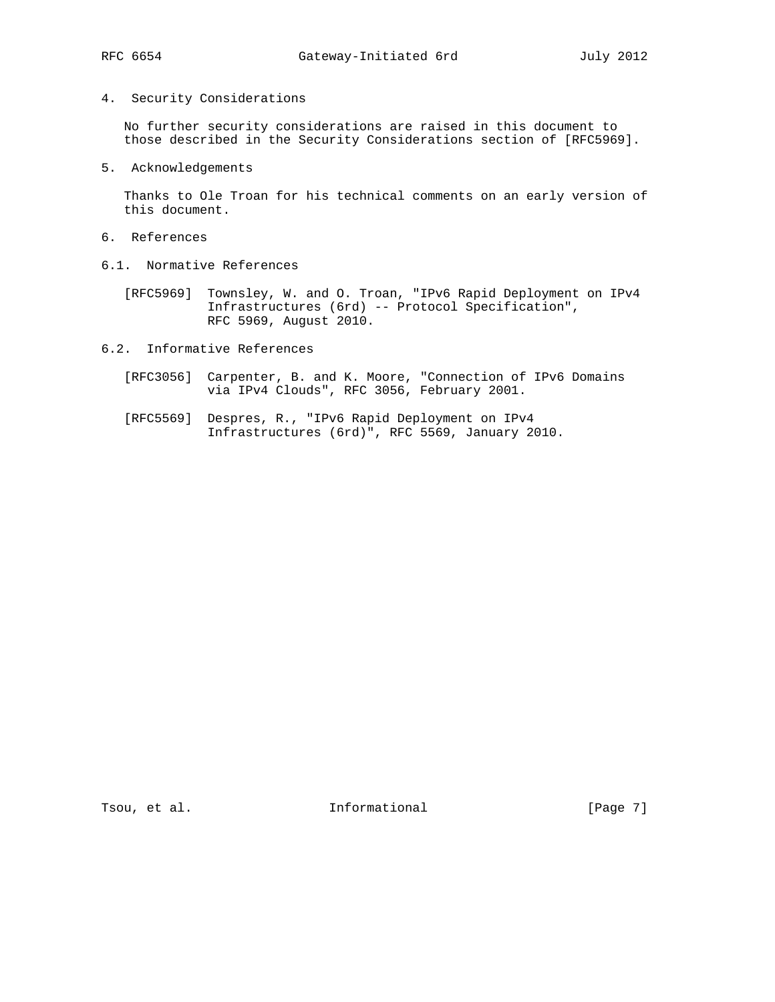## 4. Security Considerations

 No further security considerations are raised in this document to those described in the Security Considerations section of [RFC5969].

5. Acknowledgements

 Thanks to Ole Troan for his technical comments on an early version of this document.

- 6. References
- 6.1. Normative References

 [RFC5969] Townsley, W. and O. Troan, "IPv6 Rapid Deployment on IPv4 Infrastructures (6rd) -- Protocol Specification", RFC 5969, August 2010.

6.2. Informative References

- [RFC3056] Carpenter, B. and K. Moore, "Connection of IPv6 Domains via IPv4 Clouds", RFC 3056, February 2001.
- [RFC5569] Despres, R., "IPv6 Rapid Deployment on IPv4 Infrastructures (6rd)", RFC 5569, January 2010.

Tsou, et al. 10. Informational 1. The same set of  $[Page 7]$